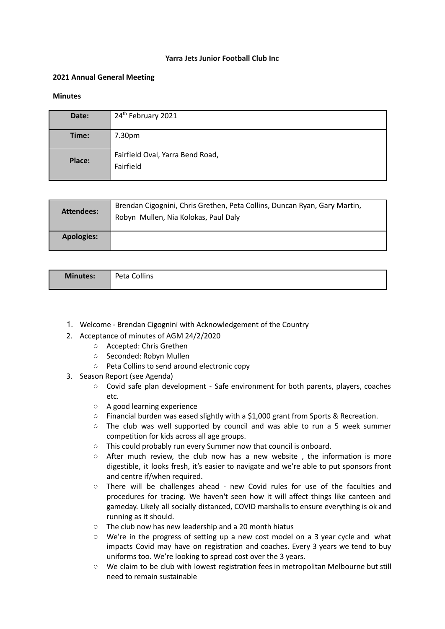## **Yarra Jets Junior Football Club Inc**

## **2021 Annual General Meeting**

## **Minutes**

| Date:  | 24 <sup>th</sup> February 2021                |
|--------|-----------------------------------------------|
| Time:  | 7.30pm                                        |
| Place: | Fairfield Oval, Yarra Bend Road,<br>Fairfield |

| Attendees:        | Brendan Cigognini, Chris Grethen, Peta Collins, Duncan Ryan, Gary Martin,<br>Robyn Mullen, Nia Kolokas, Paul Daly |
|-------------------|-------------------------------------------------------------------------------------------------------------------|
| <b>Apologies:</b> |                                                                                                                   |

| <b>Minutes:</b> | Peta Collins |
|-----------------|--------------|
|                 |              |

- 1. Welcome Brendan Cigognini with Acknowledgement of the Country
- 2. Acceptance of minutes of AGM 24/2/2020
	- Accepted: Chris Grethen
	- Seconded: Robyn Mullen
	- Peta Collins to send around electronic copy
- 3. Season Report (see Agenda)
	- Covid safe plan development Safe environment for both parents, players, coaches etc.
	- A good learning experience
	- Financial burden was eased slightly with a \$1,000 grant from Sports & Recreation.
	- The club was well supported by council and was able to run a 5 week summer competition for kids across all age groups.
	- This could probably run every Summer now that council is onboard.
	- $\circ$  After much review, the club now has a new website, the information is more digestible, it looks fresh, it's easier to navigate and we're able to put sponsors front and centre if/when required.
	- There will be challenges ahead new Covid rules for use of the faculties and procedures for tracing. We haven't seen how it will affect things like canteen and gameday. Likely all socially distanced, COVID marshalls to ensure everything is ok and running as it should.
	- The club now has new leadership and a 20 month hiatus
	- We're in the progress of setting up a new cost model on a 3 year cycle and what impacts Covid may have on registration and coaches. Every 3 years we tend to buy uniforms too. We're looking to spread cost over the 3 years.
	- We claim to be club with lowest registration fees in metropolitan Melbourne but still need to remain sustainable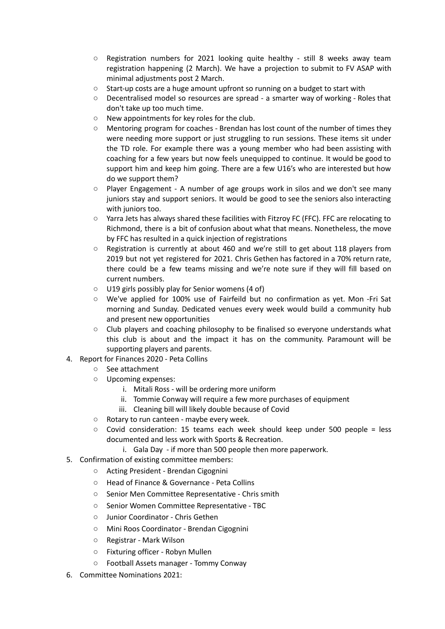- Registration numbers for 2021 looking quite healthy still 8 weeks away team registration happening (2 March). We have a projection to submit to FV ASAP with minimal adjustments post 2 March.
- Start-up costs are a huge amount upfront so running on a budget to start with
- Decentralised model so resources are spread a smarter way of working Roles that don't take up too much time.
- New appointments for key roles for the club.
- Mentoring program for coaches Brendan has lost count of the number of times they were needing more support or just struggling to run sessions. These items sit under the TD role. For example there was a young member who had been assisting with coaching for a few years but now feels unequipped to continue. It would be good to support him and keep him going. There are a few U16's who are interested but how do we support them?
- Player Engagement A number of age groups work in silos and we don't see many juniors stay and support seniors. It would be good to see the seniors also interacting with juniors too.
- Yarra Jets has always shared these facilities with Fitzroy FC (FFC). FFC are relocating to Richmond, there is a bit of confusion about what that means. Nonetheless, the move by FFC has resulted in a quick injection of registrations
- Registration is currently at about 460 and we're still to get about 118 players from 2019 but not yet registered for 2021. Chris Gethen has factored in a 70% return rate, there could be a few teams missing and we're note sure if they will fill based on current numbers.
- U19 girls possibly play for Senior womens (4 of)
- We've applied for 100% use of Fairfeild but no confirmation as yet. Mon -Fri Sat morning and Sunday. Dedicated venues every week would build a community hub and present new opportunities
- $\circ$  Club players and coaching philosophy to be finalised so everyone understands what this club is about and the impact it has on the community. Paramount will be supporting players and parents.
- 4. Report for Finances 2020 Peta Collins
	- See attachment
	- Upcoming expenses:
		- i. Mitali Ross will be ordering more uniform
		- ii. Tommie Conway will require a few more purchases of equipment
		- iii. Cleaning bill will likely double because of Covid
	- Rotary to run canteen maybe every week.
	- Covid consideration: 15 teams each week should keep under 500 people = less documented and less work with Sports & Recreation.
		- i. Gala Day if more than 500 people then more paperwork.
- 5. Confirmation of existing committee members:
	- Acting President Brendan Cigognini
	- Head of Finance & Governance Peta Collins
	- Senior Men Committee Representative Chris smith
	- Senior Women Committee Representative TBC
	- Junior Coordinator Chris Gethen
	- Mini Roos Coordinator Brendan Cigognini
	- Registrar Mark Wilson
	- Fixturing officer Robyn Mullen
	- Football Assets manager Tommy Conway
- 6. Committee Nominations 2021: